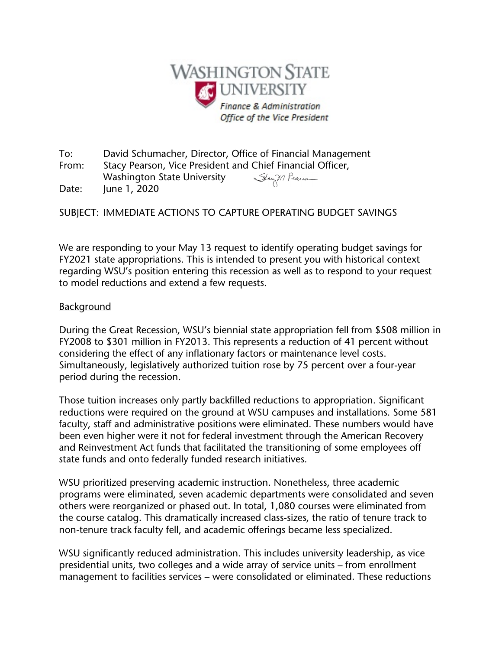

To: David Schumacher, Director, Office of Financial Management From: Stacy Pearson, Vice President and Chief Financial Officer, Washington State University Staym Pearson Date: June 1, 2020

SUBJECT: IMMEDIATE ACTIONS TO CAPTURE OPERATING BUDGET SAVINGS

We are responding to your May 13 request to identify operating budget savings for FY2021 state appropriations. This is intended to present you with historical context regarding WSU's position entering this recession as well as to respond to your request to model reductions and extend a few requests.

## **Background**

During the Great Recession, WSU's biennial state appropriation fell from \$508 million in FY2008 to \$301 million in FY2013. This represents a reduction of 41 percent without considering the effect of any inflationary factors or maintenance level costs. Simultaneously, legislatively authorized tuition rose by 75 percent over a four-year period during the recession.

Those tuition increases only partly backfilled reductions to appropriation. Significant reductions were required on the ground at WSU campuses and installations. Some 581 faculty, staff and administrative positions were eliminated. These numbers would have been even higher were it not for federal investment through the American Recovery and Reinvestment Act funds that facilitated the transitioning of some employees off state funds and onto federally funded research initiatives.

WSU prioritized preserving academic instruction. Nonetheless, three academic programs were eliminated, seven academic departments were consolidated and seven others were reorganized or phased out. In total, 1,080 courses were eliminated from the course catalog. This dramatically increased class-sizes, the ratio of tenure track to non-tenure track faculty fell, and academic offerings became less specialized.

WSU significantly reduced administration. This includes university leadership, as vice presidential units, two colleges and a wide array of service units – from enrollment management to facilities services – were consolidated or eliminated. These reductions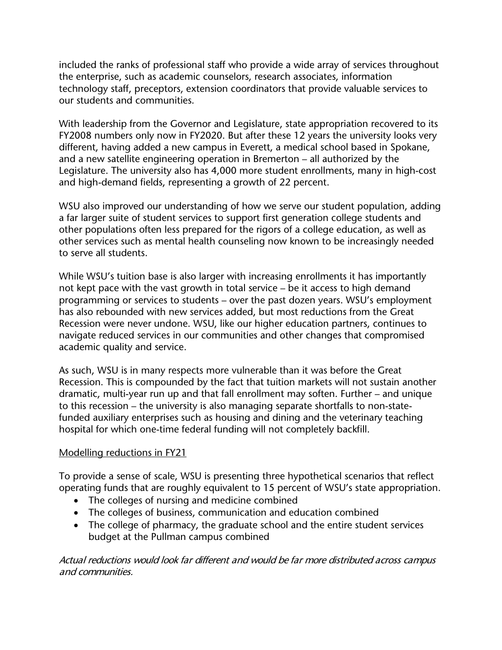included the ranks of professional staff who provide a wide array of services throughout the enterprise, such as academic counselors, research associates, information technology staff, preceptors, extension coordinators that provide valuable services to our students and communities.

With leadership from the Governor and Legislature, state appropriation recovered to its FY2008 numbers only now in FY2020. But after these 12 years the university looks very different, having added a new campus in Everett, a medical school based in Spokane, and a new satellite engineering operation in Bremerton – all authorized by the Legislature. The university also has 4,000 more student enrollments, many in high-cost and high-demand fields, representing a growth of 22 percent.

WSU also improved our understanding of how we serve our student population, adding a far larger suite of student services to support first generation college students and other populations often less prepared for the rigors of a college education, as well as other services such as mental health counseling now known to be increasingly needed to serve all students.

While WSU's tuition base is also larger with increasing enrollments it has importantly not kept pace with the vast growth in total service – be it access to high demand programming or services to students – over the past dozen years. WSU's employment has also rebounded with new services added, but most reductions from the Great Recession were never undone. WSU, like our higher education partners, continues to navigate reduced services in our communities and other changes that compromised academic quality and service.

As such, WSU is in many respects more vulnerable than it was before the Great Recession. This is compounded by the fact that tuition markets will not sustain another dramatic, multi-year run up and that fall enrollment may soften. Further – and unique to this recession – the university is also managing separate shortfalls to non-statefunded auxiliary enterprises such as housing and dining and the veterinary teaching hospital for which one-time federal funding will not completely backfill.

## Modelling reductions in FY21

To provide a sense of scale, WSU is presenting three hypothetical scenarios that reflect operating funds that are roughly equivalent to 15 percent of WSU's state appropriation.

- The colleges of nursing and medicine combined
- The colleges of business, communication and education combined
- The college of pharmacy, the graduate school and the entire student services budget at the Pullman campus combined

Actual reductions would look far different and would be far more distributed across campus and communities.